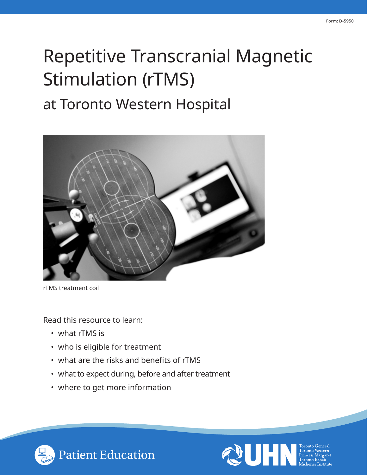# Repetitive Transcranial Magnetic Stimulation (rTMS) at Toronto Western Hospital



rTMS treatment coil

Read this resource to learn:

- what rTMS is
- who is eligible for treatment
- what are the risks and benefits of rTMS
- what to expect during, before and after treatment
- where to get more information



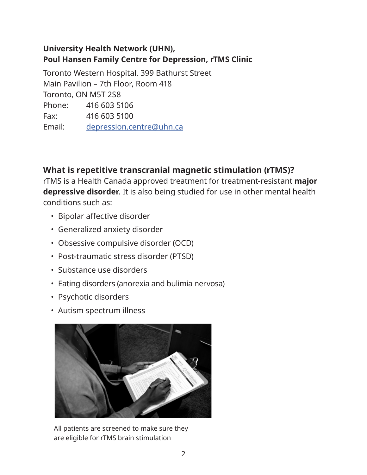## **University Health Network (UHN), Poul Hansen Family Centre for Depression, rTMS Clinic**

Toronto Western Hospital, 399 Bathurst Street Main Pavilion – 7th Floor, Room 418 Toronto, ON M5T 2S8 Phone: 416 603 5106 Fax: 416 603 5100 Email: [depression.centre@uhn.ca](mailto:depression.centre%40uhn.ca?subject=)

# **What is repetitive transcranial magnetic stimulation (rTMS)?**

rTMS is a Health Canada approved treatment for treatment-resistant **major depressive disorder**. It is also being studied for use in other mental health conditions such as:

• Bipolar affective disorder

 $\overline{a}$ 

- Generalized anxiety disorder
- Obsessive compulsive disorder (OCD)
- Post-traumatic stress disorder (PTSD)
- Substance use disorders
- Eating disorders (anorexia and bulimia nervosa)
- Psychotic disorders
- Autism spectrum illness



All patients are screened to make sure they are eligible for rTMS brain stimulation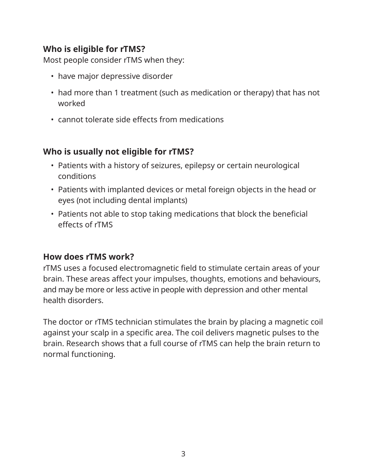# **Who is eligible for rTMS?**

Most people consider rTMS when they:

- have major depressive disorder
- had more than 1 treatment (such as medication or therapy) that has not worked
- cannot tolerate side effects from medications

# **Who is usually not eligible for rTMS?**

- Patients with a history of seizures, epilepsy or certain neurological conditions
- Patients with implanted devices or metal foreign objects in the head or eyes (not including dental implants)
- Patients not able to stop taking medications that block the beneficial effects of rTMS

## **How does rTMS work?**

rTMS uses a focused electromagnetic field to stimulate certain areas of your brain. These areas affect your impulses, thoughts, emotions and behaviours, and may be more or less active in people with depression and other mental health disorders.

The doctor or rTMS technician stimulates the brain by placing a magnetic coil against your scalp in a specific area. The coil delivers magnetic pulses to the brain. Research shows that a full course of rTMS can help the brain return to normal functioning.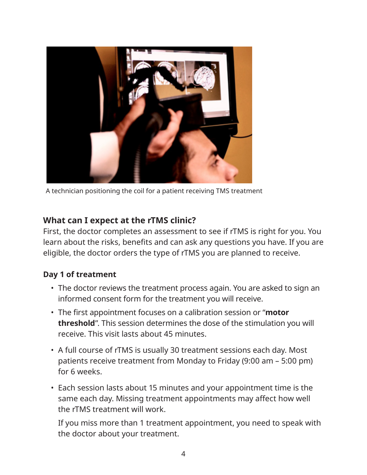

A technician positioning the coil for a patient receiving TMS treatment

# **What can I expect at the rTMS clinic?**

First, the doctor completes an assessment to see if rTMS is right for you. You learn about the risks, benefits and can ask any questions you have. If you are eligible, the doctor orders the type of rTMS you are planned to receive.

#### **Day 1 of treatment**

- The doctor reviews the treatment process again. You are asked to sign an informed consent form for the treatment you will receive.
- The first appointment focuses on a calibration session or "**motor threshold**". This session determines the dose of the stimulation you will receive. This visit lasts about 45 minutes.
- A full course of rTMS is usually 30 treatment sessions each day. Most patients receive treatment from Monday to Friday (9:00 am – 5:00 pm) for 6 weeks.
- Each session lasts about 15 minutes and your appointment time is the same each day. Missing treatment appointments may affect how well the rTMS treatment will work.

If you miss more than 1 treatment appointment, you need to speak with the doctor about your treatment.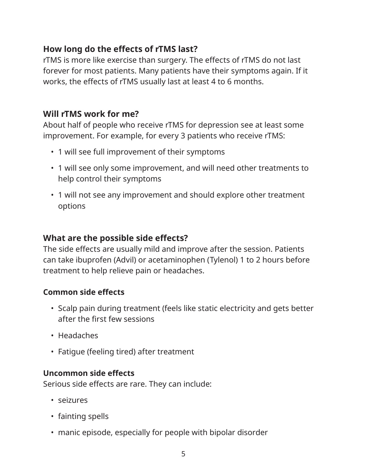# **How long do the effects of rTMS last?**

rTMS is more like exercise than surgery. The effects of rTMS do not last forever for most patients. Many patients have their symptoms again. If it works, the effects of rTMS usually last at least 4 to 6 months.

## **Will rTMS work for me?**

About half of people who receive rTMS for depression see at least some improvement. For example, for every 3 patients who receive rTMS:

- 1 will see full improvement of their symptoms
- 1 will see only some improvement, and will need other treatments to help control their symptoms
- 1 will not see any improvement and should explore other treatment options

#### **What are the possible side effects?**

The side effects are usually mild and improve after the session. Patients can take ibuprofen (Advil) or acetaminophen (Tylenol) 1 to 2 hours before treatment to help relieve pain or headaches.

#### **Common side effects**

- Scalp pain during treatment (feels like static electricity and gets better after the first few sessions
- Headaches
- Fatigue (feeling tired) after treatment

#### **Uncommon side effects**

Serious side effects are rare. They can include:

- seizures
- fainting spells
- manic episode, especially for people with bipolar disorder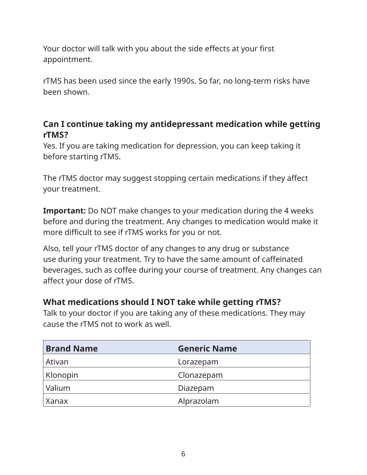Your doctor will talk with you about the side effects at your first appointment.

rTMS has been used since the early 1990s. So far, no long-term risks have been shown.

# **Can I continue taking my antidepressant medication while getting rTMS?**

Yes. If you are taking medication for depression, you can keep taking it before starting rTMS.

The rTMS doctor may suggest stopping certain medications if they affect your treatment.

**Important:** Do NOT make changes to your medication during the 4 weeks before and during the treatment. Any changes to medication would make it more difficult to see if rTMS works for you or not.

Also, tell your rTMS doctor of any changes to any drug or substance use during your treatment. Try to have the same amount of caffeinated beverages, such as coffee during your course of treatment. Any changes can affect your dose of rTMS.

## **What medications should I NOT take while getting rTMS?**

Talk to your doctor if you are taking any of these medications. They may cause the rTMS not to work as well.

| <b>Brand Name</b> | <b>Generic Name</b> |
|-------------------|---------------------|
| Ativan            | Lorazepam           |
| Klonopin          | Clonazepam          |
| Valium            | Diazepam            |
| Xanax             | Alprazolam          |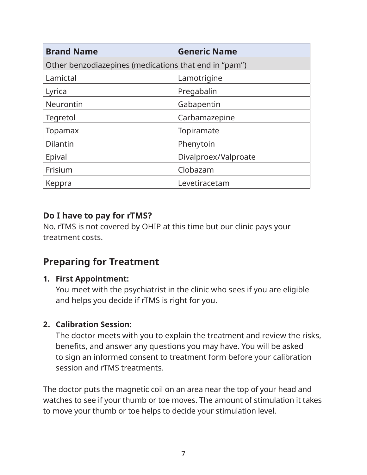| <b>Brand Name</b>                                     | <b>Generic Name</b>  |
|-------------------------------------------------------|----------------------|
| Other benzodiazepines (medications that end in "pam") |                      |
| Lamictal                                              | Lamotrigine          |
| Lyrica                                                | Pregabalin           |
| <b>Neurontin</b>                                      | Gabapentin           |
| Tegretol                                              | Carbamazepine        |
| Topamax                                               | Topiramate           |
| <b>Dilantin</b>                                       | Phenytoin            |
| Epival                                                | Divalproex/Valproate |
| Frisium                                               | Clobazam             |
| Keppra                                                | Levetiracetam        |

## **Do I have to pay for rTMS?**

No. rTMS is not covered by OHIP at this time but our clinic pays your treatment costs.

# **Preparing for Treatment**

#### **1. First Appointment:**

You meet with the psychiatrist in the clinic who sees if you are eligible and helps you decide if rTMS is right for you.

## **2. Calibration Session:**

The doctor meets with you to explain the treatment and review the risks, benefits, and answer any questions you may have. You will be asked to sign an informed consent to treatment form before your calibration session and rTMS treatments.

The doctor puts the magnetic coil on an area near the top of your head and watches to see if your thumb or toe moves. The amount of stimulation it takes to move your thumb or toe helps to decide your stimulation level.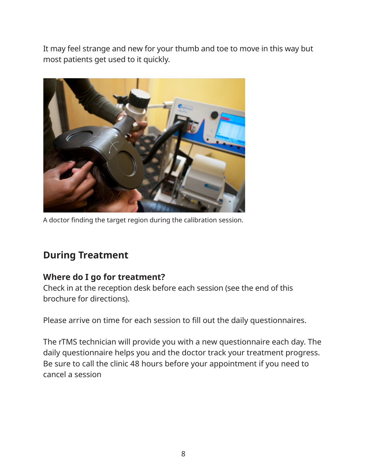It may feel strange and new for your thumb and toe to move in this way but most patients get used to it quickly.



A doctor finding the target region during the calibration session.

# **During Treatment**

## **Where do I go for treatment?**

Check in at the reception desk before each session (see the end of this brochure for directions).

Please arrive on time for each session to fill out the daily questionnaires.

The rTMS technician will provide you with a new questionnaire each day. The daily questionnaire helps you and the doctor track your treatment progress. Be sure to call the clinic 48 hours before your appointment if you need to cancel a session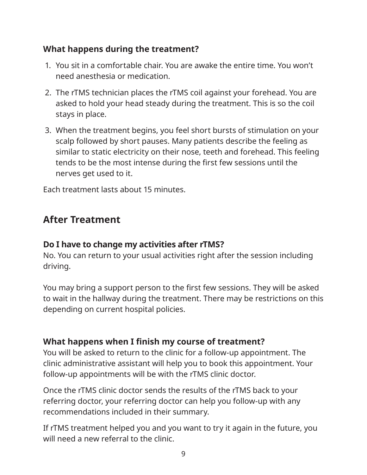# **What happens during the treatment?**

- 1. You sit in a comfortable chair. You are awake the entire time. You won't need anesthesia or medication.
- 2. The rTMS technician places the rTMS coil against your forehead. You are asked to hold your head steady during the treatment. This is so the coil stays in place.
- 3. When the treatment begins, you feel short bursts of stimulation on your scalp followed by short pauses. Many patients describe the feeling as similar to static electricity on their nose, teeth and forehead. This feeling tends to be the most intense during the first few sessions until the nerves get used to it.

Each treatment lasts about 15 minutes.

# **After Treatment**

## **Do I have to change my activities after rTMS?**

No. You can return to your usual activities right after the session including driving.

You may bring a support person to the first few sessions. They will be asked to wait in the hallway during the treatment. There may be restrictions on this depending on current hospital policies.

#### **What happens when I finish my course of treatment?**

You will be asked to return to the clinic for a follow-up appointment. The clinic administrative assistant will help you to book this appointment. Your follow-up appointments will be with the rTMS clinic doctor.

Once the rTMS clinic doctor sends the results of the rTMS back to your referring doctor, your referring doctor can help you follow-up with any recommendations included in their summary.

If rTMS treatment helped you and you want to try it again in the future, you will need a new referral to the clinic.